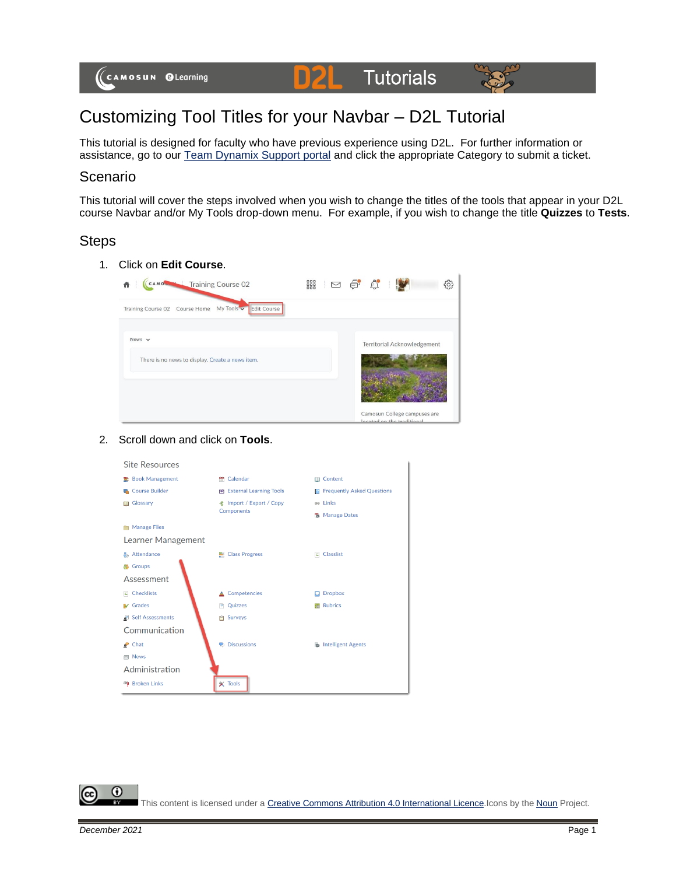

# Customizing Tool Titles for your Navbar – D2L Tutorial

This tutorial is designed for faculty who have previous experience using D2L. For further information or assistance, go to our [Team Dynamix Support portal](https://camosun.teamdynamix.com/TDClient/67/Portal/Requests/ServiceCatalog?CategoryID=523) and click the appropriate Category to submit a ticket.

#### Scenario

This tutorial will cover the steps involved when you wish to change the titles of the tools that appear in your D2L course Navbar and/or My Tools drop-down menu. For example, if you wish to change the title **Quizzes** to **Tests**.

### **Steps**

1. Click on **Edit Course**.

| CAMOS Training Course 02<br>A                         | ■ □ □ ○ ○<br>සූ                                                                                                     |
|-------------------------------------------------------|---------------------------------------------------------------------------------------------------------------------|
| Training Course 02 Course Home My Tools v Edit Course |                                                                                                                     |
| News $\vee$                                           | Territorial Acknowledgement                                                                                         |
| There is no news to display. Create a news item.      |                                                                                                                     |
|                                                       |                                                                                                                     |
|                                                       | Camosun College campuses are<br>The proposed proposed the contract of the contract and 100 per contract of the con- |

#### 2. Scroll down and click on **Tools**.



⋒ This content is licensed under [a Creative Commons Attribution 4.0 International Licence.I](https://creativecommons.org/licenses/by/4.0/)cons by the [Noun](https://creativecommons.org/website-icons/) Project.